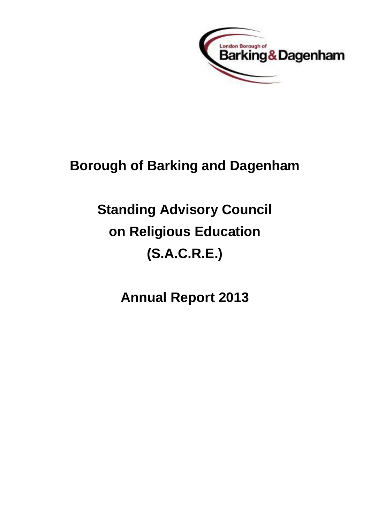

## **Borough of Barking and Dagenham**

# **Standing Advisory Council on Religious Education (S.A.C.R.E.)**

**Annual Report 2013**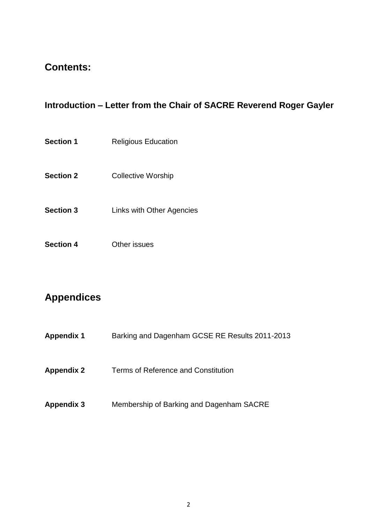## **Contents:**

## **Introduction – Letter from the Chair of SACRE Reverend Roger Gayler**

- **Section 1** Religious Education
- **Section 2** Collective Worship
- **Section 3** Links with Other Agencies
- **Section 4** Other issues

## **Appendices**

| <b>Appendix 1</b> | Barking and Dagenham GCSE RE Results 2011-2013 |
|-------------------|------------------------------------------------|
| <b>Appendix 2</b> | Terms of Reference and Constitution            |
| <b>Appendix 3</b> | Membership of Barking and Dagenham SACRE       |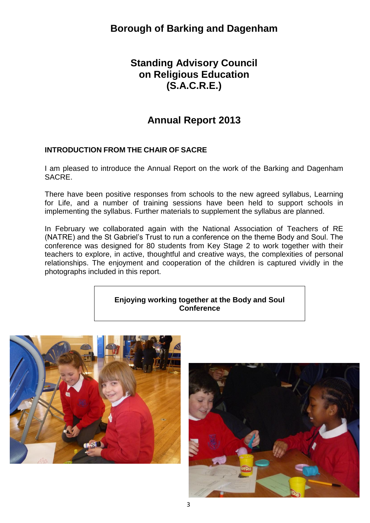## **Standing Advisory Council on Religious Education (S.A.C.R.E.)**

## **Annual Report 2013**

#### **INTRODUCTION FROM THE CHAIR OF SACRE**

I am pleased to introduce the Annual Report on the work of the Barking and Dagenham SACRE.

There have been positive responses from schools to the new agreed syllabus, Learning for Life, and a number of training sessions have been held to support schools in implementing the syllabus. Further materials to supplement the syllabus are planned.

In February we collaborated again with the National Association of Teachers of RE (NATRE) and the St Gabriel's Trust to run a conference on the theme Body and Soul. The conference was designed for 80 students from Key Stage 2 to work together with their teachers to explore, in active, thoughtful and creative ways, the complexities of personal relationships. The enjoyment and cooperation of the children is captured vividly in the photographs included in this report.

#### **Enjoying working together at the Body and Soul Conference**



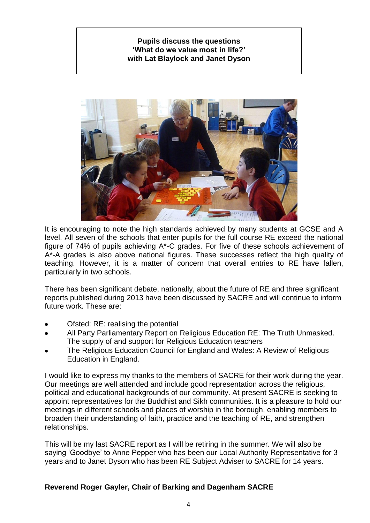#### **Pupils discuss the questions 'What do we value most in life?' with Lat Blaylock and Janet Dyson**



It is encouraging to note the high standards achieved by many students at GCSE and A level. All seven of the schools that enter pupils for the full course RE exceed the national figure of 74% of pupils achieving A\*-C grades. For five of these schools achievement of A\*-A grades is also above national figures. These successes reflect the high quality of teaching. However, it is a matter of concern that overall entries to RE have fallen, particularly in two schools.

There has been significant debate, nationally, about the future of RE and three significant reports published during 2013 have been discussed by SACRE and will continue to inform future work. These are:

- Ofsted: RE: realising the potential
- All Party Parliamentary Report on Religious Education RE: The Truth Unmasked. The supply of and support for Religious Education teachers
- The Religious Education Council for England and Wales: A Review of Religious Education in England.

I would like to express my thanks to the members of SACRE for their work during the year. Our meetings are well attended and include good representation across the religious, political and educational backgrounds of our community. At present SACRE is seeking to appoint representatives for the Buddhist and Sikh communities. It is a pleasure to hold our meetings in different schools and places of worship in the borough, enabling members to broaden their understanding of faith, practice and the teaching of RE, and strengthen relationships.

This will be my last SACRE report as I will be retiring in the summer. We will also be saying 'Goodbye' to Anne Pepper who has been our Local Authority Representative for 3 years and to Janet Dyson who has been RE Subject Adviser to SACRE for 14 years.

#### **Reverend Roger Gayler, Chair of Barking and Dagenham SACRE**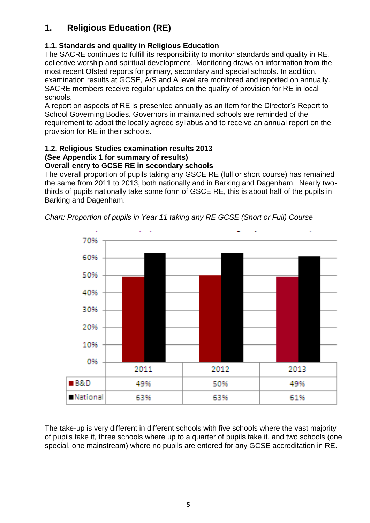## **1. Religious Education (RE)**

#### **1.1. Standards and quality in Religious Education**

The SACRE continues to fulfill its responsibility to monitor standards and quality in RE, collective worship and spiritual development. Monitoring draws on information from the most recent Ofsted reports for primary, secondary and special schools. In addition, examination results at GCSE, A/S and A level are monitored and reported on annually. SACRE members receive regular updates on the quality of provision for RE in local schools.

A report on aspects of RE is presented annually as an item for the Director's Report to School Governing Bodies. Governors in maintained schools are reminded of the requirement to adopt the locally agreed syllabus and to receive an annual report on the provision for RE in their schools.

## **1.2. Religious Studies examination results 2013 (See Appendix 1 for summary of results)**

#### **Overall entry to GCSE RE in secondary schools**

The overall proportion of pupils taking any GSCE RE (full or short course) has remained the same from 2011 to 2013, both nationally and in Barking and Dagenham. Nearly twothirds of pupils nationally take some form of GSCE RE, this is about half of the pupils in Barking and Dagenham.



*Chart: Proportion of pupils in Year 11 taking any RE GCSE (Short or Full) Course*

The take-up is very different in different schools with five schools where the vast majority of pupils take it, three schools where up to a quarter of pupils take it, and two schools (one special, one mainstream) where no pupils are entered for any GCSE accreditation in RE.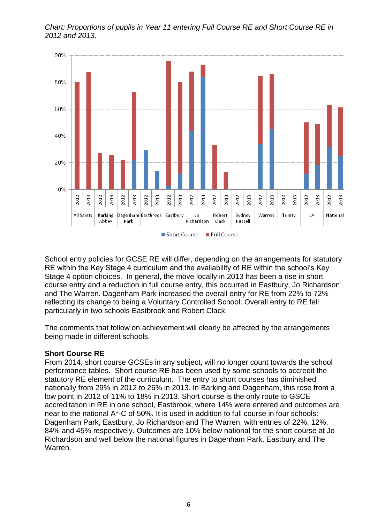

*Chart: Proportions of pupils in Year 11 entering Full Course RE and Short Course RE in 2012 and 2013.*

School entry policies for GCSE RE will differ, depending on the arrangements for statutory RE within the Key Stage 4 curriculum and the availability of RE within the school's Key Stage 4 option choices. In general, the move locally in 2013 has been a rise in short course entry and a reduction in full course entry, this occurred in Eastbury, Jo Richardson and The Warren. Dagenham Park increased the overall entry for RE from 22% to 72% reflecting its change to being a Voluntary Controlled School. Overall entry to RE fell particularly in two schools Eastbrook and Robert Clack.

The comments that follow on achievement will clearly be affected by the arrangements being made in different schools.

#### **Short Course RE**

From 2014, short course GCSEs in any subject, will no longer count towards the school performance tables. Short course RE has been used by some schools to accredit the statutory RE element of the curriculum. The entry to short courses has diminished nationally from 29% in 2012 to 26% in 2013. In Barking and Dagenham, this rose from a low point in 2012 of 11% to 18% in 2013. Short course is the only route to GSCE accreditation in RE in one school, Eastbrook, where 14% were entered and outcomes are near to the national A\*-C of 50%. It is used in addition to full course in four schools: Dagenham Park, Eastbury, Jo Richardson and The Warren, with entries of 22%, 12%, 84% and 45% respectively. Outcomes are 10% below national for the short course at Jo Richardson and well below the national figures in Dagenham Park, Eastbury and The Warren.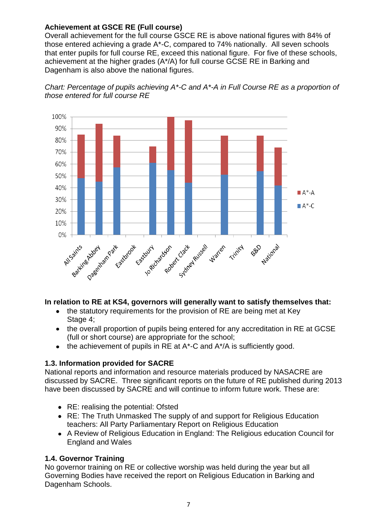#### **Achievement at GSCE RE (Full course)**

Overall achievement for the full course GSCE RE is above national figures with 84% of those entered achieving a grade A\*-C, compared to 74% nationally. All seven schools that enter pupils for full course RE, exceed this national figure. For five of these schools, achievement at the higher grades (A\*/A) for full course GCSE RE in Barking and Dagenham is also above the national figures.





#### **In relation to RE at KS4, governors will generally want to satisfy themselves that:**

- the statutory requirements for the provision of RE are being met at Key Stage 4;
- the overall proportion of pupils being entered for any accreditation in RE at GCSE (full or short course) are appropriate for the school;
- $\bullet$  the achievement of pupils in RE at A\*-C and A $*$ /A is sufficiently good.

#### **1.3. Information provided for SACRE**

National reports and information and resource materials produced by NASACRE are discussed by SACRE. Three significant reports on the future of RE published during 2013 have been discussed by SACRE and will continue to inform future work. These are:

- RE: realising the potential: Ofsted
- RE: The Truth Unmasked The supply of and support for Religious Education teachers: All Party Parliamentary Report on Religious Education
- A Review of Religious Education in England: The Religious education Council for England and Wales

#### **1.4. Governor Training**

No governor training on RE or collective worship was held during the year but all Governing Bodies have received the report on Religious Education in Barking and Dagenham Schools.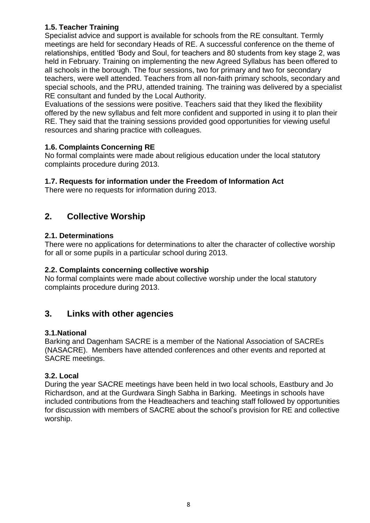#### **1.5. Teacher Training**

Specialist advice and support is available for schools from the RE consultant. Termly meetings are held for secondary Heads of RE. A successful conference on the theme of relationships, entitled 'Body and Soul, for teachers and 80 students from key stage 2, was held in February. Training on implementing the new Agreed Syllabus has been offered to all schools in the borough. The four sessions, two for primary and two for secondary teachers, were well attended. Teachers from all non-faith primary schools, secondary and special schools, and the PRU, attended training. The training was delivered by a specialist RE consultant and funded by the Local Authority.

Evaluations of the sessions were positive. Teachers said that they liked the flexibility offered by the new syllabus and felt more confident and supported in using it to plan their RE. They said that the training sessions provided good opportunities for viewing useful resources and sharing practice with colleagues.

#### **1.6. Complaints Concerning RE**

No formal complaints were made about religious education under the local statutory complaints procedure during 2013.

#### **1.7. Requests for information under the Freedom of Information Act**

There were no requests for information during 2013.

#### **2. Collective Worship**

#### **2.1. Determinations**

There were no applications for determinations to alter the character of collective worship for all or some pupils in a particular school during 2013.

#### **2.2. Complaints concerning collective worship**

No formal complaints were made about collective worship under the local statutory complaints procedure during 2013.

#### **3. Links with other agencies**

#### **3.1.National**

Barking and Dagenham SACRE is a member of the National Association of SACREs (NASACRE). Members have attended conferences and other events and reported at SACRE meetings.

#### **3.2. Local**

During the year SACRE meetings have been held in two local schools, Eastbury and Jo Richardson, and at the Gurdwara Singh Sabha in Barking. Meetings in schools have included contributions from the Headteachers and teaching staff followed by opportunities for discussion with members of SACRE about the school's provision for RE and collective worship.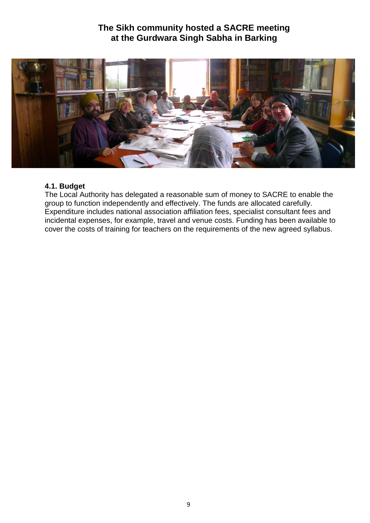## **The Sikh community hosted a SACRE meeting at the Gurdwara Singh Sabha in Barking**



#### **4.1. Budget**

The Local Authority has delegated a reasonable sum of money to SACRE to enable the group to function independently and effectively. The funds are allocated carefully. Expenditure includes national association affiliation fees, specialist consultant fees and incidental expenses, for example, travel and venue costs. Funding has been available to cover the costs of training for teachers on the requirements of the new agreed syllabus.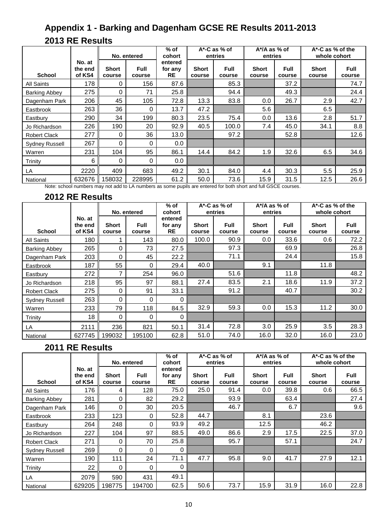## **Appendix 1 - Barking and Dagenham GCSE RE Results 2011-2013 2013 RE Results**

|                       |                             | No. entered            |                       | $%$ of<br>cohort         | A*-C as % of<br>entries |                       | A*/A as % of<br>entries |                       | A*-C as % of the<br>whole cohort |                       |
|-----------------------|-----------------------------|------------------------|-----------------------|--------------------------|-------------------------|-----------------------|-------------------------|-----------------------|----------------------------------|-----------------------|
| <b>School</b>         | No. at<br>the end<br>of KS4 | <b>Short</b><br>course | <b>Full</b><br>course | entered<br>for any<br>RE | <b>Short</b><br>course  | <b>Full</b><br>course | <b>Short</b><br>course  | <b>Full</b><br>course | <b>Short</b><br>course           | <b>Full</b><br>course |
| All Saints            | 178                         | 0                      | 156                   | 87.6                     |                         | 85.3                  |                         | 37.2                  |                                  | 74.7                  |
| <b>Barking Abbey</b>  | 275                         | 0                      | 71                    | 25.8                     |                         | 94.4                  |                         | 49.3                  |                                  | 24.4                  |
| Dagenham Park         | 206                         | 45                     | 105                   | 72.8                     | 13.3                    | 83.8                  | 0.0                     | 26.7                  | 2.9                              | 42.7                  |
| Eastbrook             | 263                         | 36                     | 0                     | 13.7                     | 47.2                    |                       | 5.6                     |                       | 6.5                              |                       |
| Eastbury              | 290                         | 34                     | 199                   | 80.3                     | 23.5                    | 75.4                  | 0.0                     | 13.6                  | 2.8                              | 51.7                  |
| Jo Richardson         | 226                         | 190                    | 20                    | 92.9                     | 40.5                    | 100.0                 | 7.4                     | 45.0                  | 34.1                             | 8.8                   |
| <b>Robert Clack</b>   | 277                         | 0                      | 36                    | 13.0                     |                         | 97.2                  |                         | 52.8                  |                                  | 12.6                  |
| <b>Sydney Russell</b> | 267                         | 0                      | 0                     | 0.0                      |                         |                       |                         |                       |                                  |                       |
| Warren                | 231                         | 104                    | 95                    | 86.1                     | 14.4                    | 84.2                  | 1.9                     | 32.6                  | 6.5                              | 34.6                  |
| Trinity               | 6                           | 0                      | 0                     | 0.0                      |                         |                       |                         |                       |                                  |                       |
| LA                    | 2220                        | 409                    | 683                   | 49.2                     | 30.1                    | 84.0                  | 4.4                     | 30.3                  | 5.5                              | 25.9                  |
| National              | 632676                      | 158032                 | 228995                | 61.2                     | 50.0                    | 73.6                  | 15.9                    | 31.5                  | 12.5                             | 26.6                  |

Note: school numbers may not add to LA numbers as some pupils are entered for both short and full GSCE courses.

#### **2012 RE Results**

|                      |                             |                        |                       | $%$ of<br>$A^*$ -C as % of |                        | $A^*$ /A as % of      |                        | $A^*$ -C as % of the  |                        |                       |
|----------------------|-----------------------------|------------------------|-----------------------|----------------------------|------------------------|-----------------------|------------------------|-----------------------|------------------------|-----------------------|
|                      |                             | No. entered            |                       | cohort                     | entries                |                       | entries                |                       | whole cohort           |                       |
| <b>School</b>        | No. at<br>the end<br>of KS4 | <b>Short</b><br>course | <b>Full</b><br>course | entered<br>for any<br>RE   | <b>Short</b><br>course | <b>Full</b><br>course | <b>Short</b><br>course | <b>Full</b><br>course | <b>Short</b><br>course | <b>Full</b><br>course |
| All Saints           | 180                         |                        | 143                   | 80.0                       | 100.0                  | 90.9                  | $0.0\,$                | 33.6                  | 0.6                    | 72.2                  |
| <b>Barking Abbey</b> | 265                         | 0                      | 73                    | 27.5                       |                        | 97.3                  |                        | 69.9                  |                        | 26.8                  |
| Dagenham Park        | 203                         | 0                      | 45                    | 22.2                       |                        | 71.1                  |                        | 24.4                  |                        | 15.8                  |
| Eastbrook            | 187                         | 55                     | 0                     | 29.4                       | 40.0                   |                       | 9.1                    |                       | 11.8                   |                       |
| Eastbury             | 272                         | 7                      | 254                   | 96.0                       |                        | 51.6                  |                        | 11.8                  |                        | 48.2                  |
| Jo Richardson        | 218                         | 95                     | 97                    | 88.1                       | 27.4                   | 83.5                  | 2.1                    | 18.6                  | 11.9                   | 37.2                  |
| <b>Robert Clack</b>  | 275                         | 0                      | 91                    | 33.1                       |                        | 91.2                  |                        | 40.7                  |                        | 30.2                  |
| Sydney Russell       | 263                         | 0                      | 0                     | $\Omega$                   |                        |                       |                        |                       |                        |                       |
| Warren               | 233                         | 79                     | 118                   | 84.5                       | 32.9                   | 59.3                  | $0.0\,$                | 15.3                  | 11.2                   | 30.0                  |
| Trinity              | 18                          | $\Omega$               | 0                     | $\Omega$                   |                        |                       |                        |                       |                        |                       |
| LA                   | 2111                        | 236                    | 821                   | 50.1                       | 31.4                   | 72.8                  | 3.0                    | 25.9                  | 3.5                    | 28.3                  |
| National             | 627745                      | 199032                 | 195100                | 62.8                       | 51.0                   | 74.0                  | 16.0                   | 32.0                  | 16.0                   | 23.0                  |

## **2011 RE Results**

|                      |                             | No. entered     |                       | $%$ of<br>cohort         | A*-C as % of<br>entries |                       | A*/A as % of<br>entries |                       | $A^*$ -C as % of the<br>whole cohort |                       |
|----------------------|-----------------------------|-----------------|-----------------------|--------------------------|-------------------------|-----------------------|-------------------------|-----------------------|--------------------------------------|-----------------------|
| <b>School</b>        | No. at<br>the end<br>of KS4 | Short<br>course | <b>Full</b><br>course | entered<br>for any<br>RE | <b>Short</b><br>course  | <b>Full</b><br>course | <b>Short</b><br>course  | <b>Full</b><br>course | <b>Short</b><br>course               | <b>Full</b><br>course |
| <b>All Saints</b>    | 176                         | 4               | 128                   | 75.0                     | 25.0                    | 91.4                  | 0.0                     | 39.8                  | 0.6                                  | 66.5                  |
| <b>Barking Abbey</b> | 281                         | 0               | 82                    | 29.2                     |                         | 93.9                  |                         | 63.4                  |                                      | 27.4                  |
| Dagenham Park        | 146                         | 0               | 30                    | 20.5                     |                         | 46.7                  |                         | 6.7                   |                                      | 9.6                   |
| Eastbrook            | 233                         | 123             | 0                     | 52.8                     | 44.7                    |                       | 8.1                     |                       | 23.6                                 |                       |
| Eastbury             | 264                         | 248             | 0                     | 93.9                     | 49.2                    |                       | 12.5                    |                       | 46.2                                 |                       |
| Jo Richardson        | 227                         | 104             | 97                    | 88.5                     | 49.0                    | 86.6                  | 2.9                     | 17.5                  | 22.5                                 | 37.0                  |
| <b>Robert Clack</b>  | 271                         | 0               | 70                    | 25.8                     |                         | 95.7                  |                         | 57.1                  |                                      | 24.7                  |
| Sydney Russell       | 269                         | 0               | 0                     | 0                        |                         |                       |                         |                       |                                      |                       |
| Warren               | 190                         | 111             | 24                    | 71.1                     | 47.7                    | 95.8                  | 9.0                     | 41.7                  | 27.9                                 | 12.1                  |
| Trinity              | 22                          | $\Omega$        | 0                     | 0                        |                         |                       |                         |                       |                                      |                       |
| LA                   | 2079                        | 590             | 431                   | 49.1                     |                         |                       |                         |                       |                                      |                       |
| National             | 629205                      | 198775          | 194700                | 62.5                     | 50.6                    | 73.7                  | 15.9                    | 31.9                  | 16.0                                 | 22.8                  |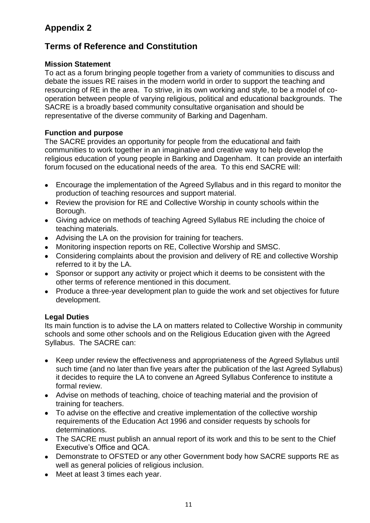## **Appendix 2**

## **Terms of Reference and Constitution**

#### **Mission Statement**

To act as a forum bringing people together from a variety of communities to discuss and debate the issues RE raises in the modern world in order to support the teaching and resourcing of RE in the area. To strive, in its own working and style, to be a model of cooperation between people of varying religious, political and educational backgrounds. The SACRE is a broadly based community consultative organisation and should be representative of the diverse community of Barking and Dagenham.

#### **Function and purpose**

The SACRE provides an opportunity for people from the educational and faith communities to work together in an imaginative and creative way to help develop the religious education of young people in Barking and Dagenham. It can provide an interfaith forum focused on the educational needs of the area. To this end SACRE will:

- Encourage the implementation of the Agreed Syllabus and in this regard to monitor the production of teaching resources and support material.
- Review the provision for RE and Collective Worship in county schools within the Borough.
- Giving advice on methods of teaching Agreed Syllabus RE including the choice of teaching materials.
- Advising the LA on the provision for training for teachers.
- Monitoring inspection reports on RE, Collective Worship and SMSC.
- Considering complaints about the provision and delivery of RE and collective Worship referred to it by the LA.
- Sponsor or support any activity or project which it deems to be consistent with the other terms of reference mentioned in this document.
- Produce a three-year development plan to guide the work and set objectives for future development.

#### **Legal Duties**

Its main function is to advise the LA on matters related to Collective Worship in community schools and some other schools and on the Religious Education given with the Agreed Syllabus. The SACRE can:

- Keep under review the effectiveness and appropriateness of the Agreed Syllabus until such time (and no later than five years after the publication of the last Agreed Syllabus) it decides to require the LA to convene an Agreed Syllabus Conference to institute a formal review.
- Advise on methods of teaching, choice of teaching material and the provision of training for teachers.
- To advise on the effective and creative implementation of the collective worship requirements of the Education Act 1996 and consider requests by schools for determinations.
- The SACRE must publish an annual report of its work and this to be sent to the Chief Executive's Office and QCA.
- Demonstrate to OFSTED or any other Government body how SACRE supports RE as well as general policies of religious inclusion.
- Meet at least 3 times each year.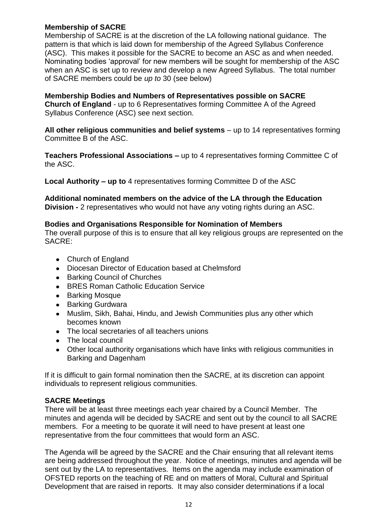#### **Membership of SACRE**

Membership of SACRE is at the discretion of the LA following national guidance. The pattern is that which is laid down for membership of the Agreed Syllabus Conference (ASC). This makes it possible for the SACRE to become an ASC as and when needed. Nominating bodies 'approval' for new members will be sought for membership of the ASC when an ASC is set up to review and develop a new Agreed Syllabus. The total number of SACRE members could be *up to* 30 (see below)

**Membership Bodies and Numbers of Representatives possible on SACRE Church of England** - up to 6 Representatives forming Committee A of the Agreed Syllabus Conference (ASC) see next section.

**All other religious communities and belief systems** – up to 14 representatives forming Committee B of the ASC.

**Teachers Professional Associations –** up to 4 representatives forming Committee C of the ASC.

**Local Authority – up to** 4 representatives forming Committee D of the ASC

**Additional nominated members on the advice of the LA through the Education Division -** 2 representatives who would not have any voting rights during an ASC.

#### **Bodies and Organisations Responsible for Nomination of Members**

The overall purpose of this is to ensure that all key religious groups are represented on the SACRE:

- Church of England
- Diocesan Director of Education based at Chelmsford
- Barking Council of Churches
- BRES Roman Catholic Education Service
- Barking Mosque
- Barking Gurdwara  $\bullet$
- $\bullet$ Muslim, Sikh, Bahai, Hindu, and Jewish Communities plus any other which becomes known
- The local secretaries of all teachers unions
- The local council
- Other local authority organisations which have links with religious communities in Barking and Dagenham

If it is difficult to gain formal nomination then the SACRE, at its discretion can appoint individuals to represent religious communities.

#### **SACRE Meetings**

There will be at least three meetings each year chaired by a Council Member. The minutes and agenda will be decided by SACRE and sent out by the council to all SACRE members. For a meeting to be quorate it will need to have present at least one representative from the four committees that would form an ASC.

The Agenda will be agreed by the SACRE and the Chair ensuring that all relevant items are being addressed throughout the year. Notice of meetings, minutes and agenda will be sent out by the LA to representatives. Items on the agenda may include examination of OFSTED reports on the teaching of RE and on matters of Moral, Cultural and Spiritual Development that are raised in reports. It may also consider determinations if a local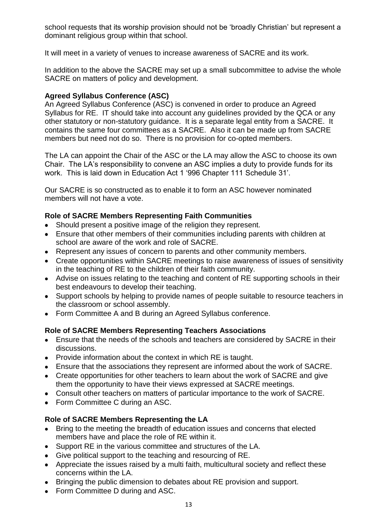school requests that its worship provision should not be 'broadly Christian' but represent a dominant religious group within that school.

It will meet in a variety of venues to increase awareness of SACRE and its work.

In addition to the above the SACRE may set up a small subcommittee to advise the whole SACRE on matters of policy and development.

#### **Agreed Syllabus Conference (ASC)**

An Agreed Syllabus Conference (ASC) is convened in order to produce an Agreed Syllabus for RE. IT should take into account any guidelines provided by the QCA or any other statutory or non-statutory guidance. It is a separate legal entity from a SACRE. It contains the same four committees as a SACRE. Also it can be made up from SACRE members but need not do so. There is no provision for co-opted members.

The LA can appoint the Chair of the ASC or the LA may allow the ASC to choose its own Chair. The LA's responsibility to convene an ASC implies a duty to provide funds for its work. This is laid down in Education Act 1 '996 Chapter 111 Schedule 31'.

Our SACRE is so constructed as to enable it to form an ASC however nominated members will not have a vote.

#### **Role of SACRE Members Representing Faith Communities**

- Should present a positive image of the religion they represent.
- Ensure that other members of their communities including parents with children at school are aware of the work and role of SACRE.
- Represent any issues of concern to parents and other community members.
- Create opportunities within SACRE meetings to raise awareness of issues of sensitivity in the teaching of RE to the children of their faith community.
- Advise on issues relating to the teaching and content of RE supporting schools in their best endeavours to develop their teaching.
- Support schools by helping to provide names of people suitable to resource teachers in the classroom or school assembly.
- Form Committee A and B during an Agreed Syllabus conference.

#### **Role of SACRE Members Representing Teachers Associations**

- Ensure that the needs of the schools and teachers are considered by SACRE in their discussions.
- Provide information about the context in which RE is taught.
- Ensure that the associations they represent are informed about the work of SACRE.
- Create opportunities for other teachers to learn about the work of SACRE and give them the opportunity to have their views expressed at SACRE meetings.
- Consult other teachers on matters of particular importance to the work of SACRE.
- Form Committee C during an ASC.

#### **Role of SACRE Members Representing the LA**

- Bring to the meeting the breadth of education issues and concerns that elected members have and place the role of RE within it.
- Support RE in the various committee and structures of the LA.
- Give political support to the teaching and resourcing of RE.
- Appreciate the issues raised by a multi faith, multicultural society and reflect these concerns within the LA.
- Bringing the public dimension to debates about RE provision and support.
- Form Committee D during and ASC.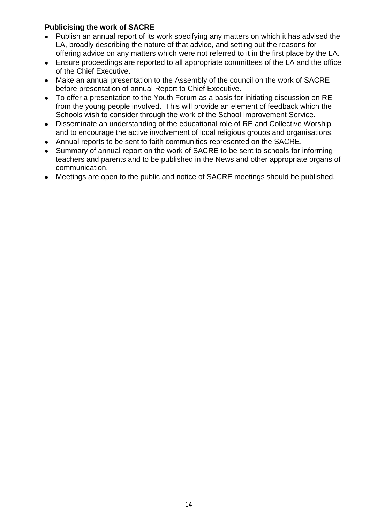#### **Publicising the work of SACRE**

- Publish an annual report of its work specifying any matters on which it has advised the LA, broadly describing the nature of that advice, and setting out the reasons for offering advice on any matters which were not referred to it in the first place by the LA.
- Ensure proceedings are reported to all appropriate committees of the LA and the office of the Chief Executive.
- Make an annual presentation to the Assembly of the council on the work of SACRE before presentation of annual Report to Chief Executive.
- To offer a presentation to the Youth Forum as a basis for initiating discussion on RE from the young people involved. This will provide an element of feedback which the Schools wish to consider through the work of the School Improvement Service.
- Disseminate an understanding of the educational role of RE and Collective Worship  $\bullet$ and to encourage the active involvement of local religious groups and organisations.
- Annual reports to be sent to faith communities represented on the SACRE.
- Summary of annual report on the work of SACRE to be sent to schools for informing teachers and parents and to be published in the News and other appropriate organs of communication.
- Meetings are open to the public and notice of SACRE meetings should be published.